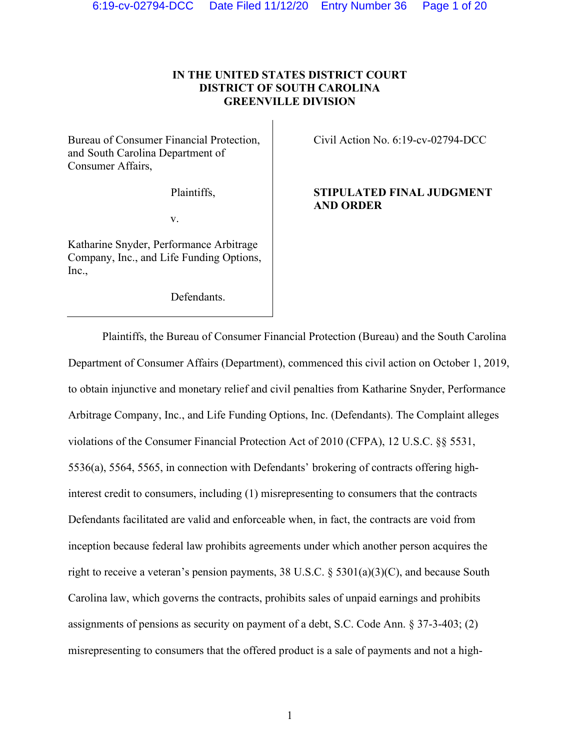# **IN THE UNITED STATES DISTRICT COURT DISTRICT OF SOUTH CAROLINA GREENVILLE DIVISION**

Bureau of Consumer Financial Protection, and South Carolina Department of Consumer Affairs,

Plaintiffs,

v.

Katharine Snyder, Performance Arbitrage Company, Inc., and Life Funding Options, Inc.,

Defendants.

Civil Action No. 6:19-cv-02794-DCC

# **STIPULATED FINAL JUDGMENT AND ORDER**

Plaintiffs, the Bureau of Consumer Financial Protection (Bureau) and the South Carolina Department of Consumer Affairs (Department), commenced this civil action on October 1, 2019, to obtain injunctive and monetary relief and civil penalties from Katharine Snyder, Performance Arbitrage Company, Inc., and Life Funding Options, Inc. (Defendants). The Complaint alleges violations of the Consumer Financial Protection Act of 2010 (CFPA), 12 U.S.C. §§ 5531, 5536(a), 5564, 5565, in connection with Defendants' brokering of contracts offering highinterest credit to consumers, including (1) misrepresenting to consumers that the contracts Defendants facilitated are valid and enforceable when, in fact, the contracts are void from inception because federal law prohibits agreements under which another person acquires the right to receive a veteran's pension payments, 38 U.S.C.  $\S$  5301(a)(3)(C), and because South Carolina law, which governs the contracts, prohibits sales of unpaid earnings and prohibits assignments of pensions as security on payment of a debt, S.C. Code Ann. § 37-3-403; (2) misrepresenting to consumers that the offered product is a sale of payments and not a high-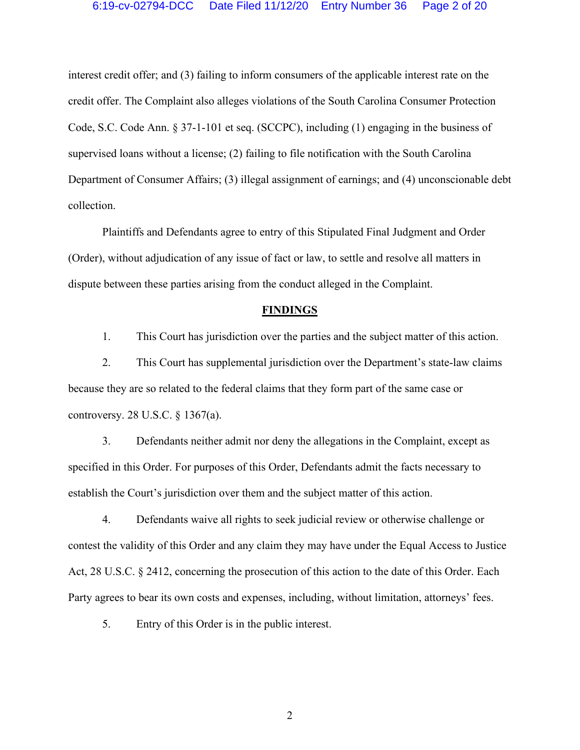## 6:19-cv-02794-DCC Date Filed 11/12/20 Entry Number 36 Page 2 of 20

interest credit offer; and (3) failing to inform consumers of the applicable interest rate on the credit offer. The Complaint also alleges violations of the South Carolina Consumer Protection Code, S.C. Code Ann. § 37-1-101 et seq. (SCCPC), including (1) engaging in the business of supervised loans without a license; (2) failing to file notification with the South Carolina Department of Consumer Affairs; (3) illegal assignment of earnings; and (4) unconscionable debt collection.

Plaintiffs and Defendants agree to entry of this Stipulated Final Judgment and Order (Order), without adjudication of any issue of fact or law, to settle and resolve all matters in dispute between these parties arising from the conduct alleged in the Complaint.

#### **FINDINGS**

1. This Court has jurisdiction over the parties and the subject matter of this action.

2. This Court has supplemental jurisdiction over the Department's state-law claims because they are so related to the federal claims that they form part of the same case or controversy. 28 U.S.C. § 1367(a).

3. Defendants neither admit nor deny the allegations in the Complaint, except as specified in this Order. For purposes of this Order, Defendants admit the facts necessary to establish the Court's jurisdiction over them and the subject matter of this action.

4. Defendants waive all rights to seek judicial review or otherwise challenge or contest the validity of this Order and any claim they may have under the Equal Access to Justice Act, 28 U.S.C. § 2412, concerning the prosecution of this action to the date of this Order. Each Party agrees to bear its own costs and expenses, including, without limitation, attorneys' fees.

5. Entry of this Order is in the public interest.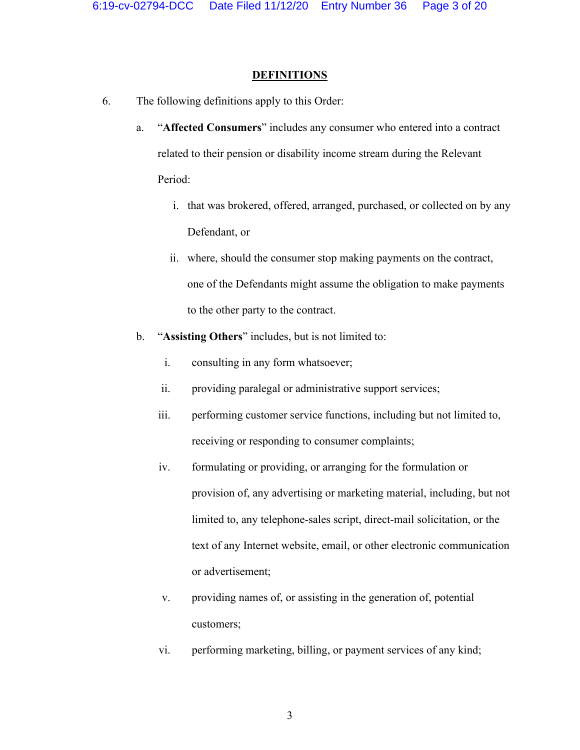# **DEFINITIONS**

- 6. The following definitions apply to this Order:
	- a. "**Affected Consumers**" includes any consumer who entered into a contract related to their pension or disability income stream during the Relevant Period:
		- i. that was brokered, offered, arranged, purchased, or collected on by any Defendant, or
		- ii. where, should the consumer stop making payments on the contract, one of the Defendants might assume the obligation to make payments to the other party to the contract.
	- b. "**Assisting Others**" includes, but is not limited to:
		- i. consulting in any form whatsoever;
		- ii. providing paralegal or administrative support services;
		- iii. performing customer service functions, including but not limited to, receiving or responding to consumer complaints;
		- iv. formulating or providing, or arranging for the formulation or provision of, any advertising or marketing material, including, but not limited to, any telephone-sales script, direct-mail solicitation, or the text of any Internet website, email, or other electronic communication or advertisement;
		- v. providing names of, or assisting in the generation of, potential customers;
		- vi. performing marketing, billing, or payment services of any kind;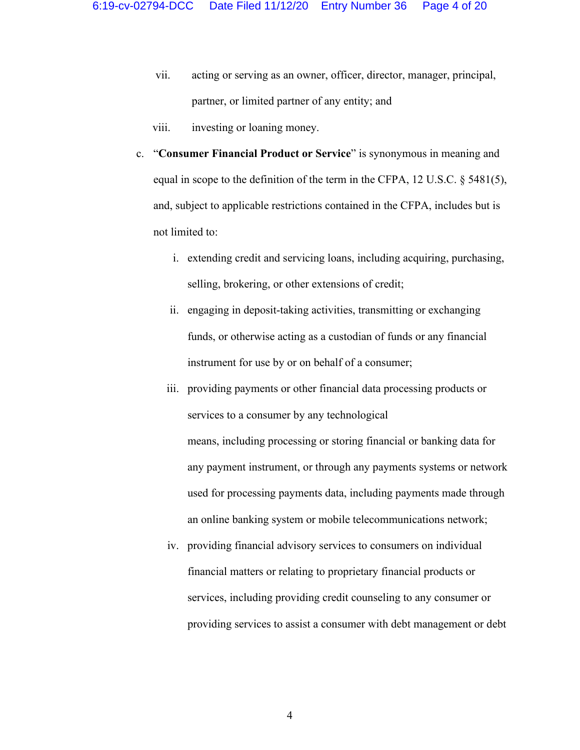- vii. acting or serving as an owner, officer, director, manager, principal, partner, or limited partner of any entity; and
- viii. investing or loaning money.
- c. "**Consumer Financial Product or Service**" is synonymous in meaning and equal in scope to the definition of the term in the CFPA, 12 U.S.C. § 5481(5), and, subject to applicable restrictions contained in the CFPA, includes but is not limited to:
	- i. extending credit and servicing loans, including acquiring, purchasing, selling, brokering, or other extensions of credit;
	- ii. engaging in deposit-taking activities, transmitting or exchanging funds, or otherwise acting as a custodian of funds or any financial instrument for use by or on behalf of a consumer;
	- iii. providing payments or other financial data processing products or services to a consumer by any technological means, including processing or storing financial or banking data for any payment instrument, or through any payments systems or network used for processing payments data, including payments made through an online banking system or mobile telecommunications network;
	- iv. providing financial advisory services to consumers on individual financial matters or relating to proprietary financial products or services, including providing credit counseling to any consumer or providing services to assist a consumer with debt management or debt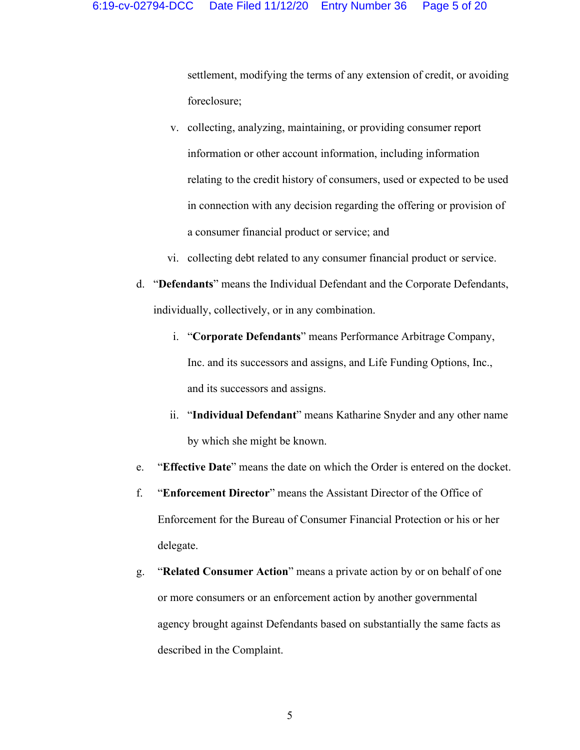settlement, modifying the terms of any extension of credit, or avoiding foreclosure;

- v. collecting, analyzing, maintaining, or providing consumer report information or other account information, including information relating to the credit history of consumers, used or expected to be used in connection with any decision regarding the offering or provision of a consumer financial product or service; and
- vi. collecting debt related to any consumer financial product or service.
- d. "**Defendants**" means the Individual Defendant and the Corporate Defendants, individually, collectively, or in any combination.
	- i. "**Corporate Defendants**" means Performance Arbitrage Company, Inc. and its successors and assigns, and Life Funding Options, Inc., and its successors and assigns.
	- ii. "**Individual Defendant**" means Katharine Snyder and any other name by which she might be known.
- e. "**Effective Date**" means the date on which the Order is entered on the docket.
- f. "**Enforcement Director**" means the Assistant Director of the Office of Enforcement for the Bureau of Consumer Financial Protection or his or her delegate.
- g. "**Related Consumer Action**" means a private action by or on behalf of one or more consumers or an enforcement action by another governmental agency brought against Defendants based on substantially the same facts as described in the Complaint.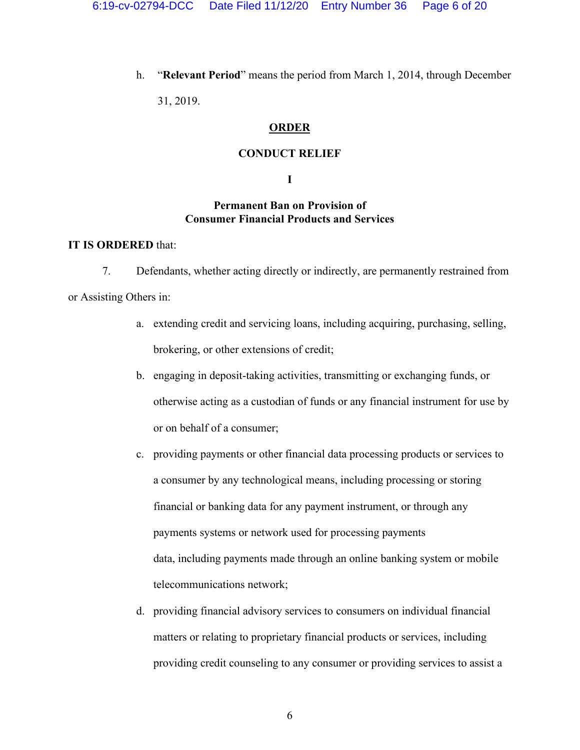h. "**Relevant Period**" means the period from March 1, 2014, through December

31, 2019.

# **ORDER**

## **CONDUCT RELIEF**

# **I**

# **Permanent Ban on Provision of Consumer Financial Products and Services**

# **IT IS ORDERED** that:

7. Defendants, whether acting directly or indirectly, are permanently restrained from

or Assisting Others in:

- a. extending credit and servicing loans, including acquiring, purchasing, selling, brokering, or other extensions of credit;
- b. engaging in deposit-taking activities, transmitting or exchanging funds, or otherwise acting as a custodian of funds or any financial instrument for use by or on behalf of a consumer;
- c. providing payments or other financial data processing products or services to a consumer by any technological means, including processing or storing financial or banking data for any payment instrument, or through any payments systems or network used for processing payments data, including payments made through an online banking system or mobile telecommunications network;
- d. providing financial advisory services to consumers on individual financial matters or relating to proprietary financial products or services, including providing credit counseling to any consumer or providing services to assist a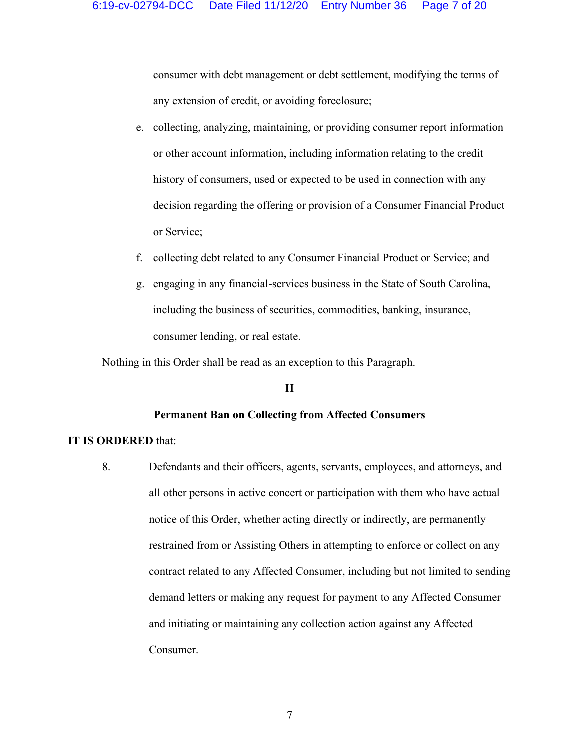consumer with debt management or debt settlement, modifying the terms of any extension of credit, or avoiding foreclosure;

- e. collecting, analyzing, maintaining, or providing consumer report information or other account information, including information relating to the credit history of consumers, used or expected to be used in connection with any decision regarding the offering or provision of a Consumer Financial Product or Service;
- f. collecting debt related to any Consumer Financial Product or Service; and
- g. engaging in any financial-services business in the State of South Carolina, including the business of securities, commodities, banking, insurance, consumer lending, or real estate.

Nothing in this Order shall be read as an exception to this Paragraph.

## **II**

## **Permanent Ban on Collecting from Affected Consumers**

## **IT IS ORDERED** that:

8. Defendants and their officers, agents, servants, employees, and attorneys, and all other persons in active concert or participation with them who have actual notice of this Order, whether acting directly or indirectly, are permanently restrained from or Assisting Others in attempting to enforce or collect on any contract related to any Affected Consumer, including but not limited to sending demand letters or making any request for payment to any Affected Consumer and initiating or maintaining any collection action against any Affected Consumer.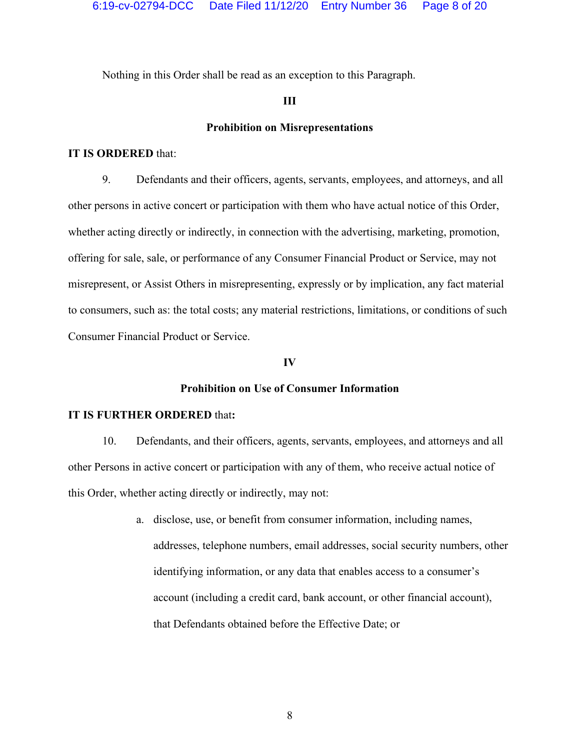Nothing in this Order shall be read as an exception to this Paragraph.

# **III**

### **Prohibition on Misrepresentations**

### **IT IS ORDERED** that:

9. Defendants and their officers, agents, servants, employees, and attorneys, and all other persons in active concert or participation with them who have actual notice of this Order, whether acting directly or indirectly, in connection with the advertising, marketing, promotion, offering for sale, sale, or performance of any Consumer Financial Product or Service, may not misrepresent, or Assist Others in misrepresenting, expressly or by implication, any fact material to consumers, such as: the total costs; any material restrictions, limitations, or conditions of such Consumer Financial Product or Service.

#### **IV**

# **Prohibition on Use of Consumer Information**

# **IT IS FURTHER ORDERED** that**:**

10. Defendants, and their officers, agents, servants, employees, and attorneys and all other Persons in active concert or participation with any of them, who receive actual notice of this Order, whether acting directly or indirectly, may not:

> a. disclose, use, or benefit from consumer information, including names, addresses, telephone numbers, email addresses, social security numbers, other identifying information, or any data that enables access to a consumer's account (including a credit card, bank account, or other financial account), that Defendants obtained before the Effective Date; or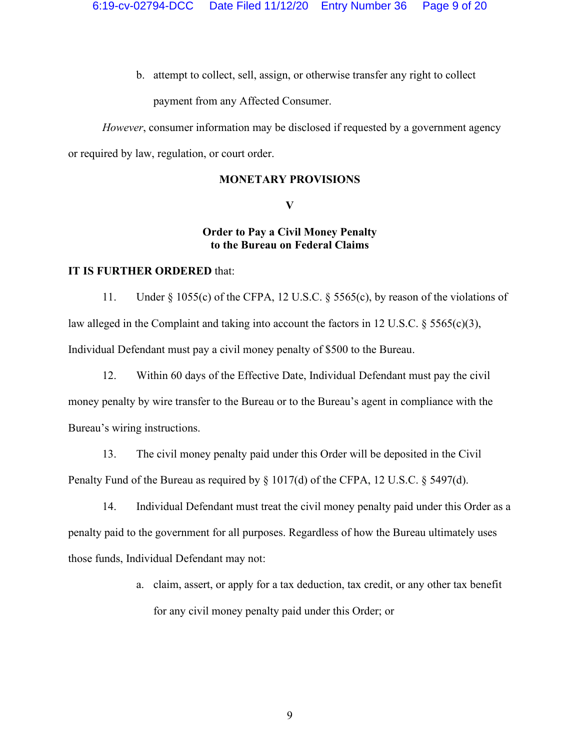b. attempt to collect, sell, assign, or otherwise transfer any right to collect

payment from any Affected Consumer.

*However*, consumer information may be disclosed if requested by a government agency or required by law, regulation, or court order.

# **MONETARY PROVISIONS**

**V**

# **Order to Pay a Civil Money Penalty to the Bureau on Federal Claims**

# **IT IS FURTHER ORDERED** that:

11. Under § 1055(c) of the CFPA, 12 U.S.C. § 5565(c), by reason of the violations of law alleged in the Complaint and taking into account the factors in 12 U.S.C. § 5565(c)(3), Individual Defendant must pay a civil money penalty of \$500 to the Bureau.

12. Within 60 days of the Effective Date, Individual Defendant must pay the civil money penalty by wire transfer to the Bureau or to the Bureau's agent in compliance with the Bureau's wiring instructions.

13. The civil money penalty paid under this Order will be deposited in the Civil Penalty Fund of the Bureau as required by § 1017(d) of the CFPA, 12 U.S.C. § 5497(d).

14. Individual Defendant must treat the civil money penalty paid under this Order as a penalty paid to the government for all purposes. Regardless of how the Bureau ultimately uses those funds, Individual Defendant may not:

> a. claim, assert, or apply for a tax deduction, tax credit, or any other tax benefit for any civil money penalty paid under this Order; or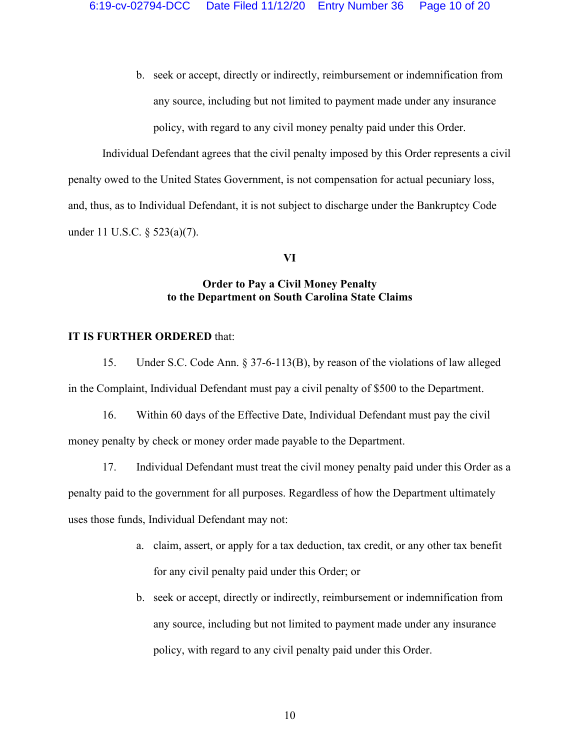b. seek or accept, directly or indirectly, reimbursement or indemnification from any source, including but not limited to payment made under any insurance policy, with regard to any civil money penalty paid under this Order.

Individual Defendant agrees that the civil penalty imposed by this Order represents a civil penalty owed to the United States Government, is not compensation for actual pecuniary loss, and, thus, as to Individual Defendant, it is not subject to discharge under the Bankruptcy Code under 11 U.S.C. § 523(a)(7).

# **VI**

# **Order to Pay a Civil Money Penalty to the Department on South Carolina State Claims**

## **IT IS FURTHER ORDERED** that:

15. Under S.C. Code Ann. § 37-6-113(B), by reason of the violations of law alleged in the Complaint, Individual Defendant must pay a civil penalty of \$500 to the Department.

16. Within 60 days of the Effective Date, Individual Defendant must pay the civil money penalty by check or money order made payable to the Department.

17. Individual Defendant must treat the civil money penalty paid under this Order as a penalty paid to the government for all purposes. Regardless of how the Department ultimately uses those funds, Individual Defendant may not:

- a. claim, assert, or apply for a tax deduction, tax credit, or any other tax benefit for any civil penalty paid under this Order; or
- b. seek or accept, directly or indirectly, reimbursement or indemnification from any source, including but not limited to payment made under any insurance policy, with regard to any civil penalty paid under this Order.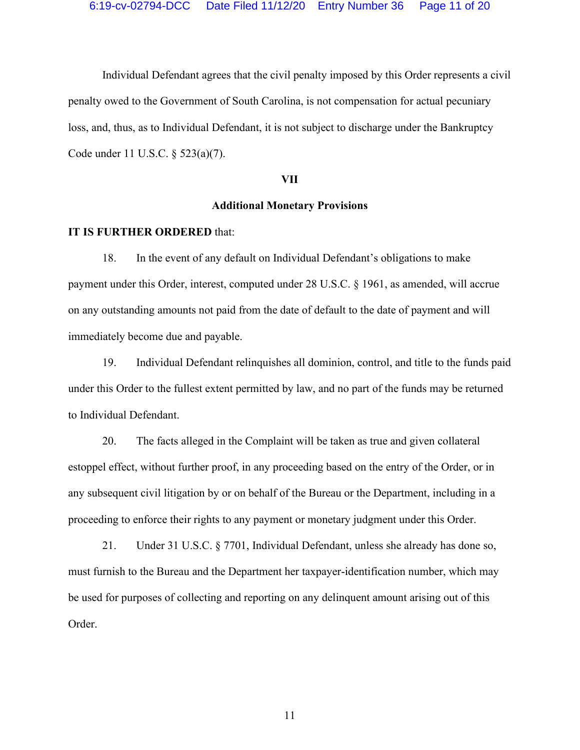Individual Defendant agrees that the civil penalty imposed by this Order represents a civil penalty owed to the Government of South Carolina, is not compensation for actual pecuniary loss, and, thus, as to Individual Defendant, it is not subject to discharge under the Bankruptcy Code under 11 U.S.C. § 523(a)(7).

## **VII**

## **Additional Monetary Provisions**

#### **IT IS FURTHER ORDERED** that:

18. In the event of any default on Individual Defendant's obligations to make payment under this Order, interest, computed under 28 U.S.C. § 1961, as amended, will accrue on any outstanding amounts not paid from the date of default to the date of payment and will immediately become due and payable.

19. Individual Defendant relinquishes all dominion, control, and title to the funds paid under this Order to the fullest extent permitted by law, and no part of the funds may be returned to Individual Defendant.

20. The facts alleged in the Complaint will be taken as true and given collateral estoppel effect, without further proof, in any proceeding based on the entry of the Order, or in any subsequent civil litigation by or on behalf of the Bureau or the Department, including in a proceeding to enforce their rights to any payment or monetary judgment under this Order.

21. Under 31 U.S.C. § 7701, Individual Defendant, unless she already has done so, must furnish to the Bureau and the Department her taxpayer-identification number, which may be used for purposes of collecting and reporting on any delinquent amount arising out of this Order.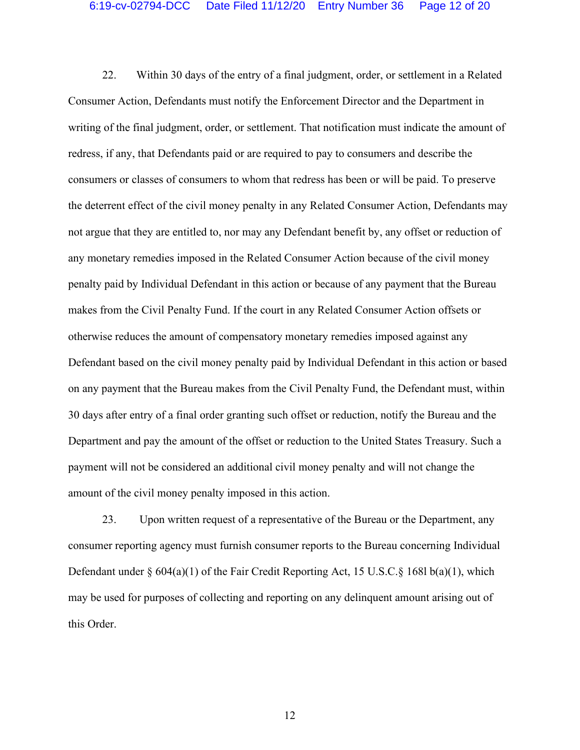22. Within 30 days of the entry of a final judgment, order, or settlement in a Related Consumer Action, Defendants must notify the Enforcement Director and the Department in writing of the final judgment, order, or settlement. That notification must indicate the amount of redress, if any, that Defendants paid or are required to pay to consumers and describe the consumers or classes of consumers to whom that redress has been or will be paid. To preserve the deterrent effect of the civil money penalty in any Related Consumer Action, Defendants may not argue that they are entitled to, nor may any Defendant benefit by, any offset or reduction of any monetary remedies imposed in the Related Consumer Action because of the civil money penalty paid by Individual Defendant in this action or because of any payment that the Bureau makes from the Civil Penalty Fund. If the court in any Related Consumer Action offsets or otherwise reduces the amount of compensatory monetary remedies imposed against any Defendant based on the civil money penalty paid by Individual Defendant in this action or based on any payment that the Bureau makes from the Civil Penalty Fund, the Defendant must, within 30 days after entry of a final order granting such offset or reduction, notify the Bureau and the Department and pay the amount of the offset or reduction to the United States Treasury. Such a payment will not be considered an additional civil money penalty and will not change the amount of the civil money penalty imposed in this action.

23. Upon written request of a representative of the Bureau or the Department, any consumer reporting agency must furnish consumer reports to the Bureau concerning Individual Defendant under § 604(a)(1) of the Fair Credit Reporting Act, 15 U.S.C.§ 168l b(a)(1), which may be used for purposes of collecting and reporting on any delinquent amount arising out of this Order.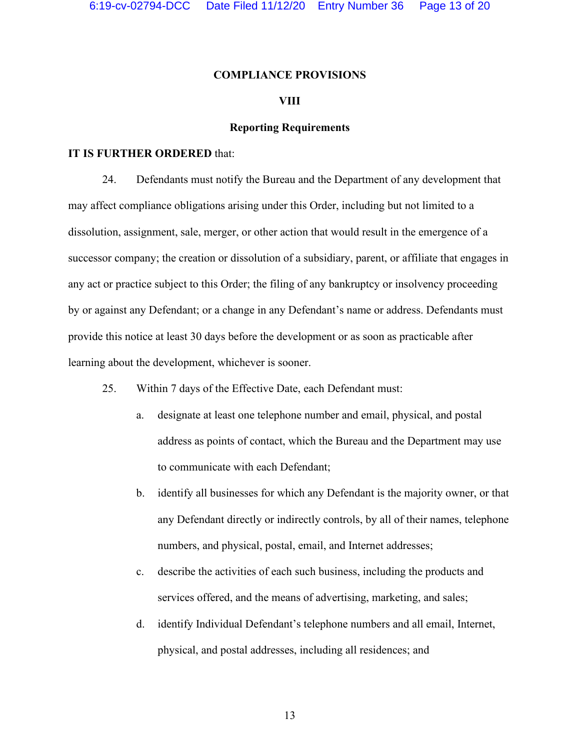## **COMPLIANCE PROVISIONS**

## **VIII**

## **Reporting Requirements**

### **IT IS FURTHER ORDERED** that:

24. Defendants must notify the Bureau and the Department of any development that may affect compliance obligations arising under this Order, including but not limited to a dissolution, assignment, sale, merger, or other action that would result in the emergence of a successor company; the creation or dissolution of a subsidiary, parent, or affiliate that engages in any act or practice subject to this Order; the filing of any bankruptcy or insolvency proceeding by or against any Defendant; or a change in any Defendant's name or address. Defendants must provide this notice at least 30 days before the development or as soon as practicable after learning about the development, whichever is sooner.

- 25. Within 7 days of the Effective Date, each Defendant must:
	- a. designate at least one telephone number and email, physical, and postal address as points of contact, which the Bureau and the Department may use to communicate with each Defendant;
	- b. identify all businesses for which any Defendant is the majority owner, or that any Defendant directly or indirectly controls, by all of their names, telephone numbers, and physical, postal, email, and Internet addresses;
	- c. describe the activities of each such business, including the products and services offered, and the means of advertising, marketing, and sales;
	- d. identify Individual Defendant's telephone numbers and all email, Internet, physical, and postal addresses, including all residences; and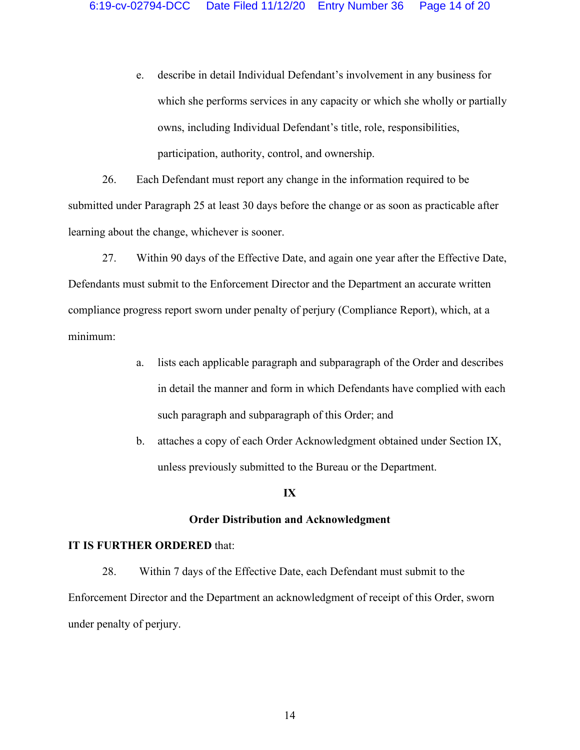e. describe in detail Individual Defendant's involvement in any business for which she performs services in any capacity or which she wholly or partially owns, including Individual Defendant's title, role, responsibilities, participation, authority, control, and ownership.

26. Each Defendant must report any change in the information required to be submitted under Paragraph 25 at least 30 days before the change or as soon as practicable after learning about the change, whichever is sooner.

- 27. Within 90 days of the Effective Date, and again one year after the Effective Date, Defendants must submit to the Enforcement Director and the Department an accurate written compliance progress report sworn under penalty of perjury (Compliance Report), which, at a minimum:
	- a. lists each applicable paragraph and subparagraph of the Order and describes in detail the manner and form in which Defendants have complied with each such paragraph and subparagraph of this Order; and
	- b. attaches a copy of each Order Acknowledgment obtained under Section IX, unless previously submitted to the Bureau or the Department.

#### **IX**

### **Order Distribution and Acknowledgment**

## **IT IS FURTHER ORDERED** that:

28. Within 7 days of the Effective Date, each Defendant must submit to the Enforcement Director and the Department an acknowledgment of receipt of this Order, sworn under penalty of perjury.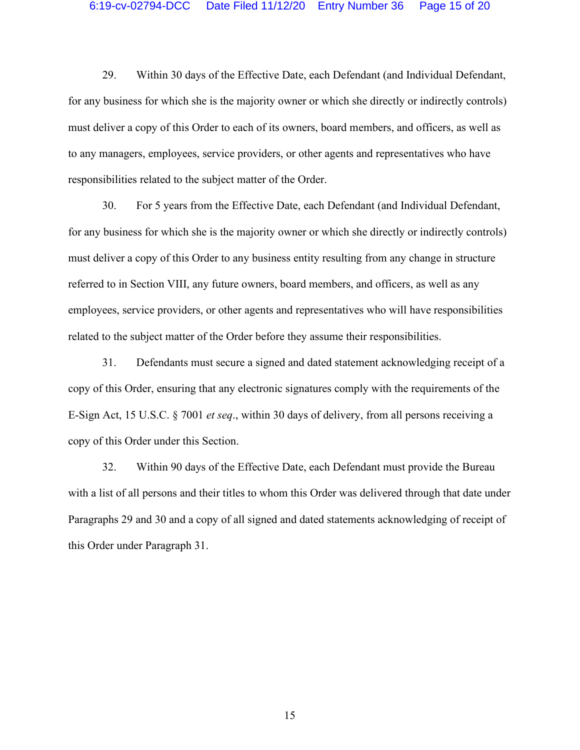29. Within 30 days of the Effective Date, each Defendant (and Individual Defendant, for any business for which she is the majority owner or which she directly or indirectly controls) must deliver a copy of this Order to each of its owners, board members, and officers, as well as to any managers, employees, service providers, or other agents and representatives who have responsibilities related to the subject matter of the Order.

30. For 5 years from the Effective Date, each Defendant (and Individual Defendant, for any business for which she is the majority owner or which she directly or indirectly controls) must deliver a copy of this Order to any business entity resulting from any change in structure referred to in Section VIII, any future owners, board members, and officers, as well as any employees, service providers, or other agents and representatives who will have responsibilities related to the subject matter of the Order before they assume their responsibilities.

31. Defendants must secure a signed and dated statement acknowledging receipt of a copy of this Order, ensuring that any electronic signatures comply with the requirements of the E-Sign Act, 15 U.S.C. § 7001 *et seq*., within 30 days of delivery, from all persons receiving a copy of this Order under this Section.

32. Within 90 days of the Effective Date, each Defendant must provide the Bureau with a list of all persons and their titles to whom this Order was delivered through that date under Paragraphs 29 and 30 and a copy of all signed and dated statements acknowledging of receipt of this Order under Paragraph 31.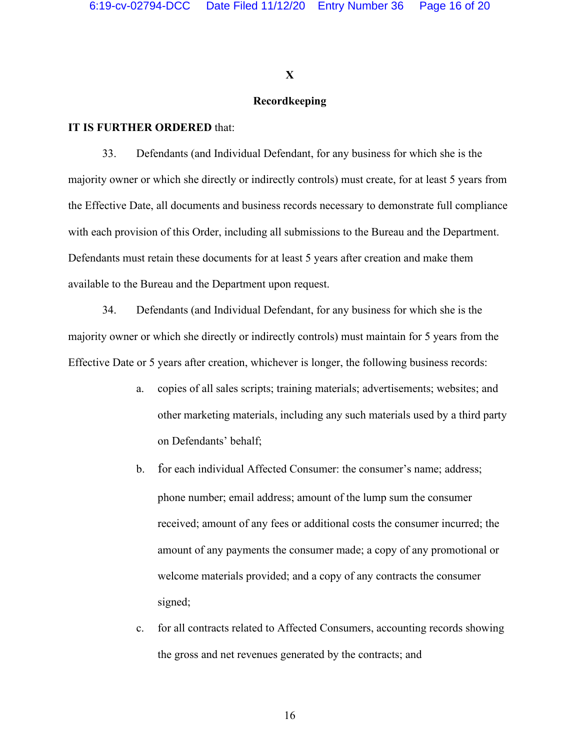## **X**

# **Recordkeeping**

# **IT IS FURTHER ORDERED** that:

33. Defendants (and Individual Defendant, for any business for which she is the majority owner or which she directly or indirectly controls) must create, for at least 5 years from the Effective Date, all documents and business records necessary to demonstrate full compliance with each provision of this Order, including all submissions to the Bureau and the Department. Defendants must retain these documents for at least 5 years after creation and make them available to the Bureau and the Department upon request.

34. Defendants (and Individual Defendant, for any business for which she is the majority owner or which she directly or indirectly controls) must maintain for 5 years from the Effective Date or 5 years after creation, whichever is longer, the following business records:

- a. copies of all sales scripts; training materials; advertisements; websites; and other marketing materials, including any such materials used by a third party on Defendants' behalf;
- b. for each individual Affected Consumer: the consumer's name; address; phone number; email address; amount of the lump sum the consumer received; amount of any fees or additional costs the consumer incurred; the amount of any payments the consumer made; a copy of any promotional or welcome materials provided; and a copy of any contracts the consumer signed;
- c. for all contracts related to Affected Consumers, accounting records showing the gross and net revenues generated by the contracts; and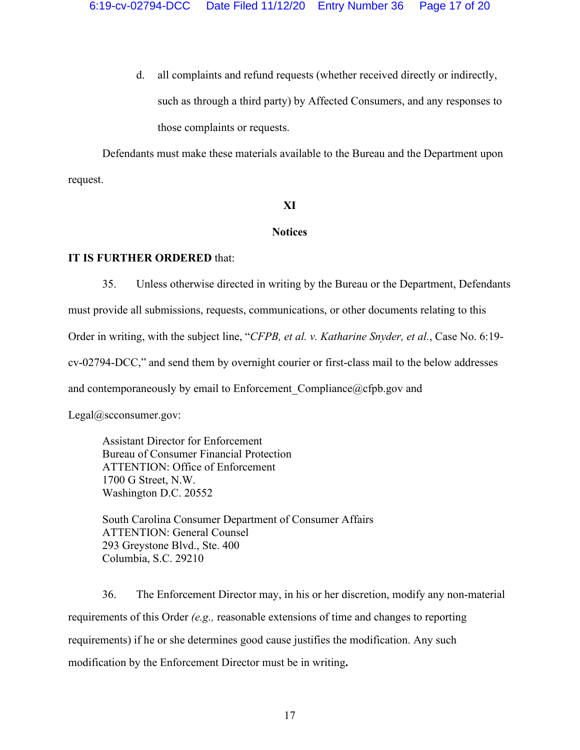d. all complaints and refund requests (whether received directly or indirectly, such as through a third party) by Affected Consumers, and any responses to those complaints or requests.

Defendants must make these materials available to the Bureau and the Department upon request.

# **XI**

## **Notices**

# **IT IS FURTHER ORDERED** that:

35. Unless otherwise directed in writing by the Bureau or the Department, Defendants must provide all submissions, requests, communications, or other documents relating to this Order in writing, with the subject line, "*CFPB, et al. v. Katharine Snyder, et al.*, Case No. 6:19 cv-02794-DCC," and send them by overnight courier or first-class mail to the below addresses and contemporaneously by email to Enforcement Compliance $@cfbgov$  and

Legal@scconsumer.gov:

Assistant Director for Enforcement Bureau of Consumer Financial Protection ATTENTION: Office of Enforcement 1700 G Street, N.W. Washington D.C. 20552

South Carolina Consumer Department of Consumer Affairs ATTENTION: General Counsel 293 Greystone Blvd., Ste. 400 Columbia, S.C. 29210

36. The Enforcement Director may, in his or her discretion, modify any non-material requirements of this Order *(e.g.,* reasonable extensions of time and changes to reporting requirements) if he or she determines good cause justifies the modification. Any such modification by the Enforcement Director must be in writing**.**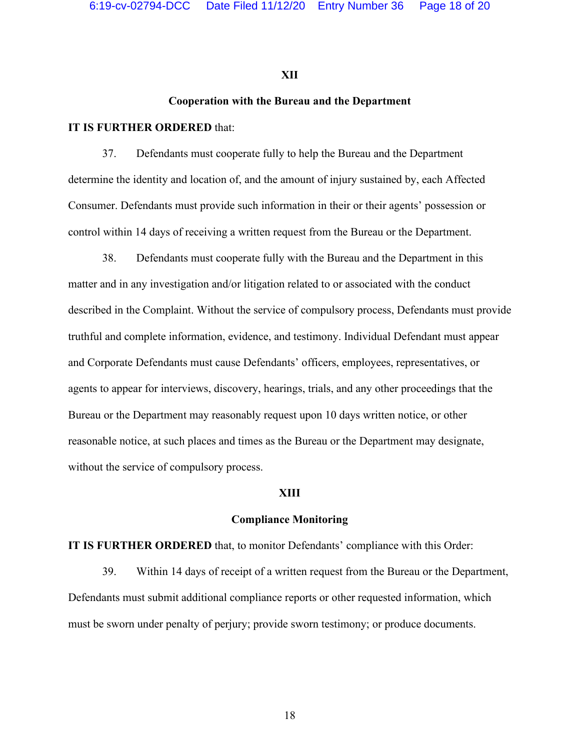## **XII**

# **Cooperation with the Bureau and the Department**

# **IT IS FURTHER ORDERED** that:

37. Defendants must cooperate fully to help the Bureau and the Department determine the identity and location of, and the amount of injury sustained by, each Affected Consumer. Defendants must provide such information in their or their agents' possession or control within 14 days of receiving a written request from the Bureau or the Department.

38. Defendants must cooperate fully with the Bureau and the Department in this matter and in any investigation and/or litigation related to or associated with the conduct described in the Complaint. Without the service of compulsory process, Defendants must provide truthful and complete information, evidence, and testimony. Individual Defendant must appear and Corporate Defendants must cause Defendants' officers, employees, representatives, or agents to appear for interviews, discovery, hearings, trials, and any other proceedings that the Bureau or the Department may reasonably request upon 10 days written notice, or other reasonable notice, at such places and times as the Bureau or the Department may designate, without the service of compulsory process.

#### **XIII**

#### **Compliance Monitoring**

**IT IS FURTHER ORDERED** that, to monitor Defendants' compliance with this Order:

39. Within 14 days of receipt of a written request from the Bureau or the Department, Defendants must submit additional compliance reports or other requested information, which must be sworn under penalty of perjury; provide sworn testimony; or produce documents.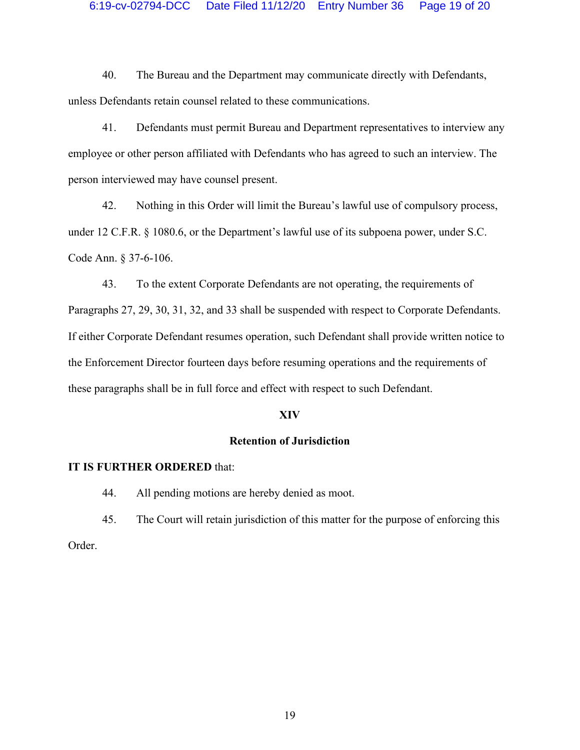## 6:19-cv-02794-DCC Date Filed 11/12/20 Entry Number 36 Page 19 of 20

40. The Bureau and the Department may communicate directly with Defendants, unless Defendants retain counsel related to these communications.

41. Defendants must permit Bureau and Department representatives to interview any employee or other person affiliated with Defendants who has agreed to such an interview. The person interviewed may have counsel present.

42. Nothing in this Order will limit the Bureau's lawful use of compulsory process, under 12 C.F.R. § 1080.6, or the Department's lawful use of its subpoena power, under S.C. Code Ann. § 37-6-106.

43. To the extent Corporate Defendants are not operating, the requirements of Paragraphs 27, 29, 30, 31, 32, and 33 shall be suspended with respect to Corporate Defendants. If either Corporate Defendant resumes operation, such Defendant shall provide written notice to the Enforcement Director fourteen days before resuming operations and the requirements of these paragraphs shall be in full force and effect with respect to such Defendant.

## **XIV**

## **Retention of Jurisdiction**

#### **IT IS FURTHER ORDERED** that:

44. All pending motions are hereby denied as moot.

45. The Court will retain jurisdiction of this matter for the purpose of enforcing this

Order.